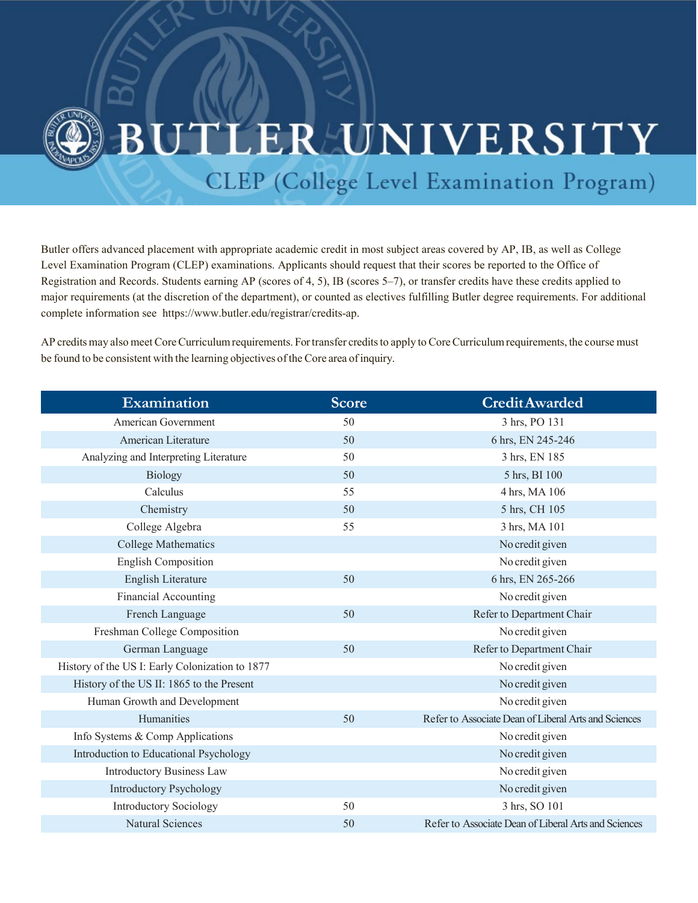

## **ERUNIVERSITY**

CLEP (College Level Examination Program)

Butler offers advanced placement with appropriate academic credit in most subject areas covered by AP, IB, as well as College Level Examination Program (CLEP) examinations. Applicants should request that their scores be reported to the Office of Registration and Records. Students earning AP (scores of 4, 5), IB (scores 5–7), or transfer credits have these credits applied to major requirements (at the discretion of the department), or counted as electives fulfilling Butler degree requirements. For additional complete information see [https://www.butler.edu/registrar/credits-ap.](http://www.butler.edu/registrar/transfer-and-test-credit/test-credits-(ap%2C-ib-and-clep))

AP credits may also meet Core Curriculum requirements. For transfer credits to apply to Core Curriculum requirements, the course must be found to be consistent with the learning objectives of the Core area of inquiry.

| Examination                                     | Score | <b>Credit Awarded</b>                                |
|-------------------------------------------------|-------|------------------------------------------------------|
| American Government                             | 50    | 3 hrs, PO 131                                        |
| American Literature                             | 50    | 6 hrs, EN 245-246                                    |
| Analyzing and Interpreting Literature           | 50    | 3 hrs, EN 185                                        |
| Biology                                         | 50    | 5 hrs, BI 100                                        |
| Calculus                                        | 55    | 4 hrs, MA 106                                        |
| Chemistry                                       | 50    | 5 hrs, CH 105                                        |
| College Algebra                                 | 55    | 3 hrs, MA 101                                        |
| <b>College Mathematics</b>                      |       | No credit given                                      |
| <b>English Composition</b>                      |       | No credit given                                      |
| English Literature                              | 50    | 6 hrs, EN 265-266                                    |
| <b>Financial Accounting</b>                     |       | No credit given                                      |
| French Language                                 | 50    | Refer to Department Chair                            |
| Freshman College Composition                    |       | No credit given                                      |
| German Language                                 | 50    | Refer to Department Chair                            |
| History of the US I: Early Colonization to 1877 |       | No credit given                                      |
| History of the US II: 1865 to the Present       |       | No credit given                                      |
| Human Growth and Development                    |       | No credit given                                      |
| Humanities                                      | 50    | Refer to Associate Dean of Liberal Arts and Sciences |
| Info Systems & Comp Applications                |       | No credit given                                      |
| Introduction to Educational Psychology          |       | No credit given                                      |
| <b>Introductory Business Law</b>                |       | No credit given                                      |
| <b>Introductory Psychology</b>                  |       | No credit given                                      |
| <b>Introductory Sociology</b>                   | 50    | 3 hrs, SO 101                                        |
| <b>Natural Sciences</b>                         | 50    | Refer to Associate Dean of Liberal Arts and Sciences |